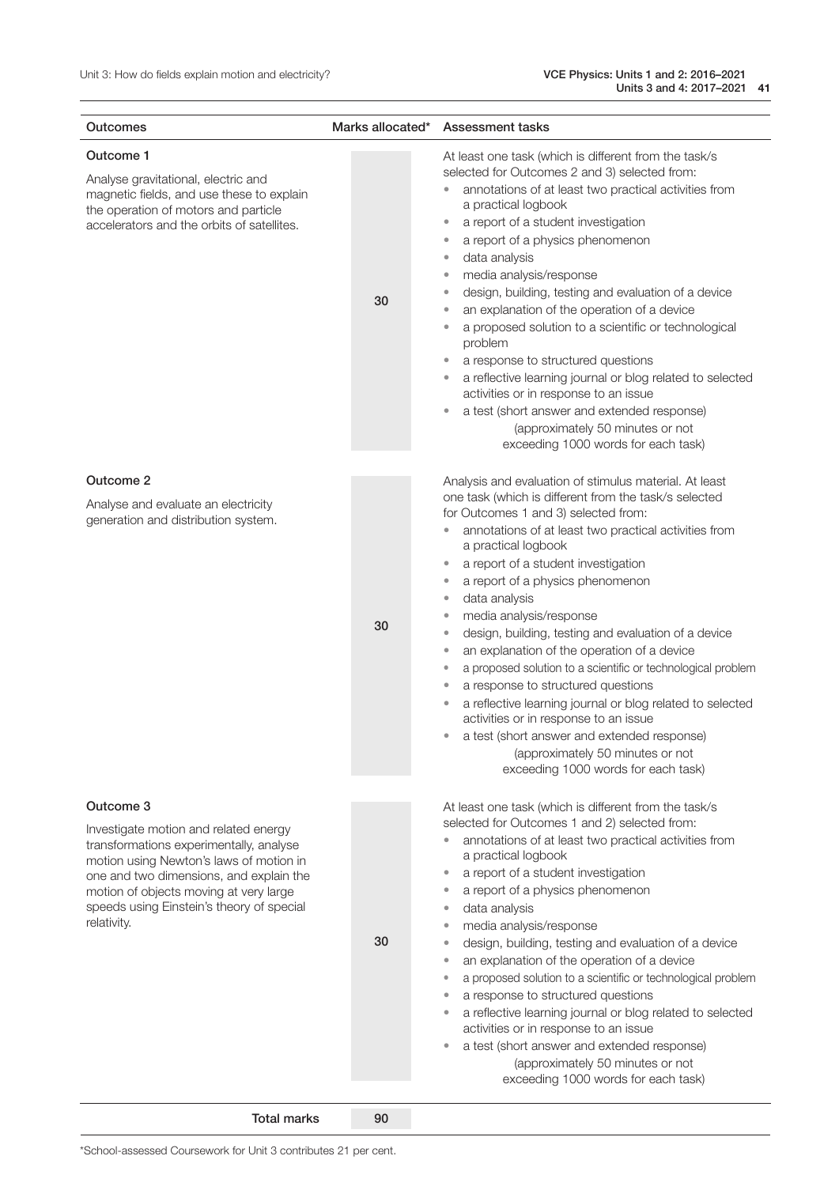| Outcomes                                                                                                                                                                                                                                                                                  | Marks allocated* | <b>Assessment tasks</b>                                                                                                                                                                                                                                                                                                                                                                                                                                                                                                                                                                                                                                                                                                                                                                                                                                                                                                                       |
|-------------------------------------------------------------------------------------------------------------------------------------------------------------------------------------------------------------------------------------------------------------------------------------------|------------------|-----------------------------------------------------------------------------------------------------------------------------------------------------------------------------------------------------------------------------------------------------------------------------------------------------------------------------------------------------------------------------------------------------------------------------------------------------------------------------------------------------------------------------------------------------------------------------------------------------------------------------------------------------------------------------------------------------------------------------------------------------------------------------------------------------------------------------------------------------------------------------------------------------------------------------------------------|
| Outcome 1<br>Analyse gravitational, electric and<br>magnetic fields, and use these to explain<br>the operation of motors and particle<br>accelerators and the orbits of satellites.                                                                                                       | 30               | At least one task (which is different from the task/s<br>selected for Outcomes 2 and 3) selected from:<br>annotations of at least two practical activities from<br>$\color{red} \bullet$<br>a practical logbook<br>a report of a student investigation<br>$\bullet$<br>a report of a physics phenomenon<br>$\bullet$<br>data analysis<br>$\bullet$<br>media analysis/response<br>$\bullet$<br>design, building, testing and evaluation of a device<br>$\bullet$<br>an explanation of the operation of a device<br>$\bullet$<br>a proposed solution to a scientific or technological<br>$\bullet$<br>problem<br>a response to structured questions<br>$\bullet$<br>a reflective learning journal or blog related to selected<br>$\bullet$<br>activities or in response to an issue<br>a test (short answer and extended response)<br>$\bullet$<br>(approximately 50 minutes or not<br>exceeding 1000 words for each task)                      |
| Outcome 2<br>Analyse and evaluate an electricity<br>generation and distribution system.                                                                                                                                                                                                   | 30               | Analysis and evaluation of stimulus material. At least<br>one task (which is different from the task/s selected<br>for Outcomes 1 and 3) selected from:<br>annotations of at least two practical activities from<br>a practical logbook<br>a report of a student investigation<br>$\bullet$<br>a report of a physics phenomenon<br>$\bullet$<br>data analysis<br>$\bullet$<br>media analysis/response<br>$\bullet$<br>design, building, testing and evaluation of a device<br>$\bullet$<br>an explanation of the operation of a device<br>$\bullet$<br>a proposed solution to a scientific or technological problem<br>$\bullet$<br>a response to structured questions<br>$\bullet$<br>a reflective learning journal or blog related to selected<br>$\bullet$<br>activities or in response to an issue<br>a test (short answer and extended response)<br>$\bullet$<br>(approximately 50 minutes or not<br>exceeding 1000 words for each task) |
| Outcome 3<br>Investigate motion and related energy<br>transformations experimentally, analyse<br>motion using Newton's laws of motion in<br>one and two dimensions, and explain the<br>motion of objects moving at very large<br>speeds using Einstein's theory of special<br>relativity. | 30               | At least one task (which is different from the task/s<br>selected for Outcomes 1 and 2) selected from:<br>annotations of at least two practical activities from<br>$\color{red} \bullet$<br>a practical logbook<br>a report of a student investigation<br>$\bullet$<br>a report of a physics phenomenon<br>$\bullet$<br>data analysis<br>$\bullet$<br>media analysis/response<br>$\bullet$<br>design, building, testing and evaluation of a device<br>$\bullet$<br>an explanation of the operation of a device<br>$\bullet$<br>a proposed solution to a scientific or technological problem<br>$\bullet$<br>a response to structured questions<br>a reflective learning journal or blog related to selected<br>activities or in response to an issue<br>a test (short answer and extended response)<br>$\bullet$<br>(approximately 50 minutes or not<br>exceeding 1000 words for each task)                                                   |

Total marks 90

\*School-assessed Coursework for Unit 3 contributes 21 per cent.